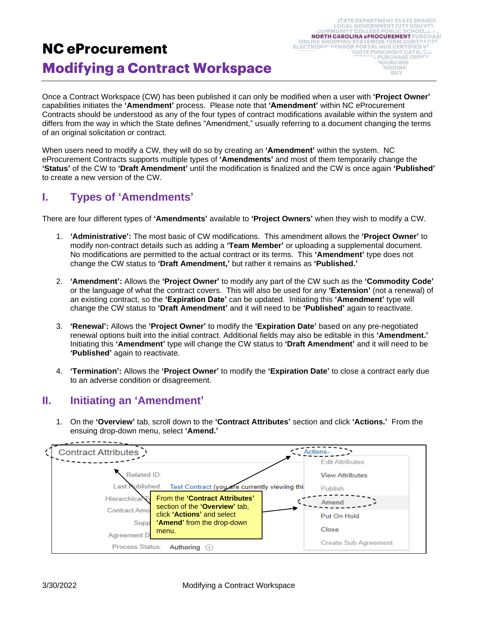# **NC eProcurement Modifying a Contract Workspace**

Once a Contract Workspace (CW) has been published it can only be modified when a user with **'Project Owner'** capabilities initiates the **'Amendment'** process. Please note that **'Amendment'** within NC eProcurement Contracts should be understood as any of the four types of contract modifications available within the system and differs from the way in which the State defines "Amendment," usually referring to a document changing the terms of an original solicitation or contract.

When users need to modify a CW, they will do so by creating an **'Amendment'** within the system. NC eProcurement Contracts supports multiple types of **'Amendments'** and most of them temporarily change the **'Status'** of the CW to **'Draft Amendment'** until the modification is finalized and the CW is once again **'Published'** to create a new version of the CW.

# **I. Types of 'Amendments'**

There are four different types of **'Amendments'** available to **'Project Owners'** when they wish to modify a CW.

- 1. **'Administrative':** The most basic of CW modifications. This amendment allows the **'Project Owner'** to modify non-contract details such as adding a **'Team Member'** or uploading a supplemental document. No modifications are permitted to the actual contract or its terms. This **'Amendment'** type does not change the CW status to **'Draft Amendment,'** but rather it remains as **'Published.'**
- 2. **'Amendment':** Allows the **'Project Owner'** to modify any part of the CW such as the **'Commodity Code'** or the language of what the contract covers. This will also be used for any **'Extension'** (not a renewal) of an existing contract, so the **'Expiration Date'** can be updated. Initiating this **'Amendment'** type will change the CW status to **'Draft Amendment'** and it will need to be **'Published'** again to reactivate.
- 3. **'Renewal':** Allows the **'Project Owner'** to modify the **'Expiration Date'** based on any pre-negotiated renewal options built into the initial contract. Additional fields may also be editable in this **'Amendment.'** Initiating this **'Amendment'** type will change the CW status to **'Draft Amendment'** and it will need to be **'Published'** again to reactivate.
- 4. **'Termination':** Allows the **'Project Owner'** to modify the **'Expiration Date'** to close a contract early due to an adverse condition or disagreement.

### **II. Initiating an 'Amendment'**

1. On the **'Overview'** tab, scroll down to the **'Contract Attributes'** section and click **'Actions.'** From the ensuing drop-down menu, select **'Amend.'**

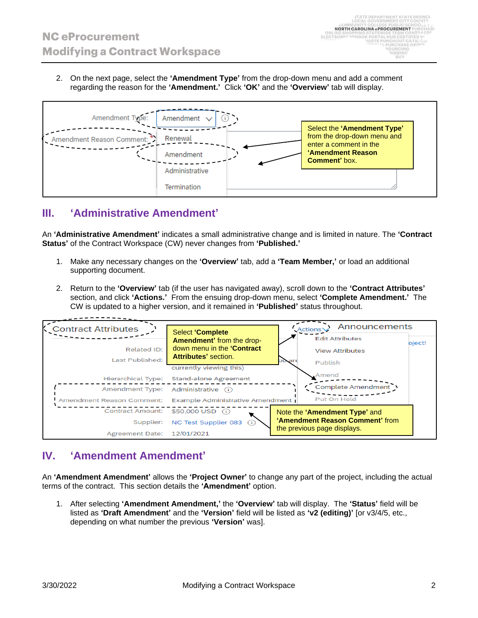2. On the next page, select the **'Amendment Type'** from the drop-down menu and add a comment regarding the reason for the **'Amendment.'** Click **'OK'** and the **'Overview'** tab will display.



### **III. 'Administrative Amendment'**

An **'Administrative Amendment'** indicates a small administrative change and is limited in nature. The **'Contract Status'** of the Contract Workspace (CW) never changes from **'Published.'**

- 1. Make any necessary changes on the **'Overview'** tab, add a **'Team Member,'** or load an additional supporting document.
- 2. Return to the **'Overview'** tab (if the user has navigated away), scroll down to the **'Contract Attributes'** section, and click **'Actions.'** From the ensuing drop-down menu, select **'Complete Amendment.'** The CW is updated to a higher version, and it remained in **'Published'** status throughout.

| <b>Contract Attributes</b>         |                                                      | <b>Announcements</b><br>Actions  |
|------------------------------------|------------------------------------------------------|----------------------------------|
|                                    | <b>Select 'Complete</b><br>Amendment' from the drop- | <b>Edit Attributes</b><br>bject! |
| <b>Related ID:</b>                 | down menu in the 'Contract                           | <b>View Attributes</b>           |
| Last Published:                    | Attributes' section.<br>currently viewing this)      | ou are<br>Publish                |
| Hierarchical Type:                 | <b>Stand-alone Agreement</b>                         | Amend                            |
| Amendment Type: Administrative (i) |                                                      | <b>Complete Amendment</b>        |
| Amendment Reason Comment:          | Example Administrative Amendment                     | Put On Hold                      |
| Contract Amount: \$50,000 USD (i)  |                                                      | Note the 'Amendment Type' and    |
| Supplier:                          | NC Test Supplier 083                                 | 'Amendment Reason Comment' from  |
| Agreement Date: 12/01/2021         |                                                      | the previous page displays.      |

### **IV. 'Amendment Amendment'**

An **'Amendment Amendment'** allows the **'Project Owner'** to change any part of the project, including the actual terms of the contract. This section details the **'Amendment'** option.

1. After selecting **'Amendment Amendment,'** the **'Overview'** tab will display. The **'Status'** field will be listed as **'Draft Amendment'** and the **'Version'** field will be listed as **'v2 (editing)'** [or v3/4/5, etc., depending on what number the previous **'Version'** was].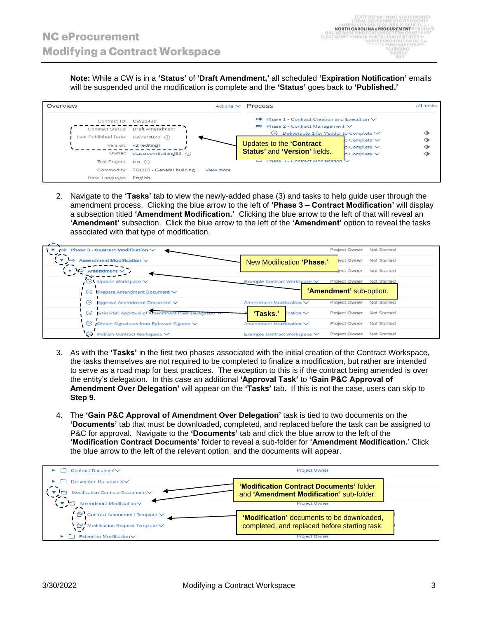**Note:** While a CW is in a **'Status'** of **'Draft Amendment,'** all scheduled **'Expiration Notification'** emails will be suspended until the modification is complete and the **'Status'** goes back to **'Published.'**

| Overview                                       |                                                         | Actions $\vee$ Process                                                                                                                                                      |                                                             | <b>All Tasks</b> |
|------------------------------------------------|---------------------------------------------------------|-----------------------------------------------------------------------------------------------------------------------------------------------------------------------------|-------------------------------------------------------------|------------------|
| Contract ID: CW21496                           | <b>Contract Status: Draft Amendment</b>                 | $\mathbf{u}$ Phase 1 - Contract Creation and Execution $\vee$<br>$\Rightarrow$ Phase 2 - Contract Management $\vee$<br>$\Theta$ Deliverable 1 for Vendor to Complete $\vee$ |                                                             | ◆                |
| Last Published Date: 02/09/2022 (i)            | Version: v2 (editing)<br>Owner: classroomtraining32 (i) | Updates to the 'Contract<br><b>Status' and 'Version' fields.</b>                                                                                                            | o Complete $\vee$<br>o Complete $\vee$<br>o Complete $\vee$ | ◆                |
| Test Project: No (i)<br>Base Language: English | Commodity: 761115 - General building View more          | сопітась мючінсацог                                                                                                                                                         |                                                             |                  |

2. Navigate to the **'Tasks'** tab to view the newly-added phase (3) and tasks to help guide user through the amendment process. Clicking the blue arrow to the left of **'Phase 3 – Contract Modification'** will display a subsection titled **'Amendment Modification.'** Clicking the blue arrow to the left of that will reveal an **'Amendment'** subsection. Click the blue arrow to the left of the **'Amendment'** option to reveal the tasks associated with that type of modification.

| $\Rightarrow$ Phase 3 - Contract Modification $\vee$<br>---- |                               | <b>Project Owner</b>    | <b>Not Started</b> |
|--------------------------------------------------------------|-------------------------------|-------------------------|--------------------|
| $\Rightarrow$<br>Amendment Modification $\vee$               | New Modification 'Phase.'     | ect Owner               | <b>Not Started</b> |
| $\blacksquare$<br>Amendment $\vee$                           |                               | ject Owner              | <b>Not Started</b> |
| $\bigcirc$ Update Workspace $\vee$                           | Example Contract Workspace ∨  | <b>Project Owner</b>    | <b>Not Started</b> |
| $\bigodot$ Prepare Amendment Document $\vee$                 |                               | 'Amendment' sub-option. |                    |
| Approve Amendment Document V<br>ങ                            | Amendment Modification V      | <b>Project Owner</b>    | <b>Not Started</b> |
| Gain P&C Approval of Amendment Over Detegation<br>ങ          | 'Tasks.'<br>$i$ cation $\vee$ | <b>Project Owner</b>    | <b>Not Started</b> |
| $\bigcirc$ Obtain Signatures from Relevant Signers $\vee$    | Amendment Modification V      | <b>Project Owner</b>    | <b>Not Started</b> |
| Publish Contract Workspace V<br>œ                            | Example Contract Workspace ∨  | <b>Project Owner</b>    | <b>Not Started</b> |

- 3. As with the **'Tasks'** in the first two phases associated with the initial creation of the Contract Workspace, the tasks themselves are not required to be completed to finalize a modification, but rather are intended to serve as a road map for best practices. The exception to this is if the contract being amended is over the entity's delegation. In this case an additional **'Approval Task'** to **'Gain P&C Approval of Amendment Over Delegation'** will appear on the **'Tasks'** tab. If this is not the case, users can skip to **Step 9**.
- 4. The **'Gain P&C Approval of Amendment Over Delegation'** task is tied to two documents on the **'Documents'** tab that must be downloaded, completed, and replaced before the task can be assigned to P&C for approval. Navigate to the **'Documents'** tab and click the blue arrow to the left of the **'Modification Contract Documents'** folder to reveal a sub-folder for **'Amendment Modification.'** Click the blue arrow to the left of the relevant option, and the documents will appear.

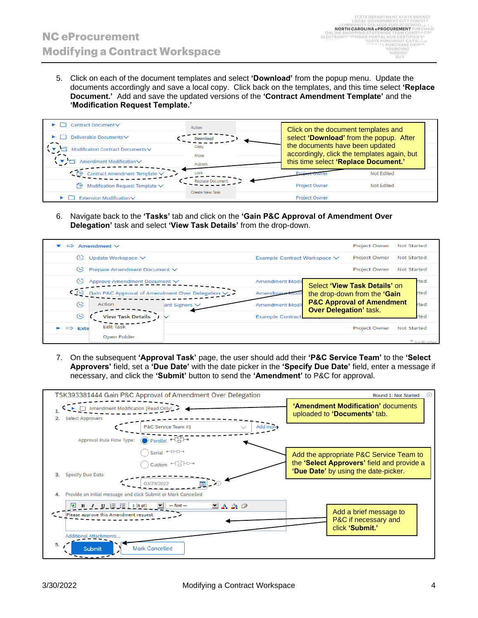5. Click on each of the document templates and select **'Download'** from the popup menu. Update the documents accordingly and save a local copy. Click back on the templates, and this time select **'Replace Document.'** Add and save the updated versions of the **'Contract Amendment Template'** and the **'Modification Request Template.'**

| Contract Document∨                     | Action                  | Click on the document templates and                                            |                   |  |
|----------------------------------------|-------------------------|--------------------------------------------------------------------------------|-------------------|--|
| Deliverable Documents∨                 | <b>Download</b>         | select 'Download' from the popup. After                                        |                   |  |
| Modification Contract Documents V      | Copy<br>Move            | the documents have been updated<br>accordingly, click the templates again, but |                   |  |
| Amendment Modification∨                | Publish                 | this time select 'Replace Document.'                                           |                   |  |
| Contract Amendment Template V          | Lock                    |                                                                                | <b>Not Edited</b> |  |
| Modification Request Template V<br>€ŵ. | <b>Replace Document</b> | <b>Project Owner</b>                                                           | <b>Not Edited</b> |  |
| Extension Modification∨                | <b>Create New Task</b>  | <b>Project Owner</b>                                                           |                   |  |

6. Navigate back to the **'Tasks'** tab and click on the **'Gain P&C Approval of Amendment Over Delegation'** task and select **'View Task Details'** from the drop-down.



7. On the subsequent **'Approval Task'** page, the user should add their **'P&C Service Team'** to the **'Select Approvers'** field, set a **'Due Date'** with the date picker in the **'Specify Due Date'** field, enter a message if necessary, and click the **'Submit'** button to send the **'Amendment'** to P&C for approval.

|    |                                                                        | TSK393381444 Gain P&C Approval of Amendment Over Delegation |                                    | Round 1: Not Started<br>O)                                         |
|----|------------------------------------------------------------------------|-------------------------------------------------------------|------------------------------------|--------------------------------------------------------------------|
| 2. | Amendment Modification (Read Only)<br><b>Select Approvers</b>          |                                                             |                                    | 'Amendment Modification' documents<br>uploaded to 'Documents' tab. |
|    |                                                                        | P&C Service Team #1                                         | Add more<br>$\checkmark$           |                                                                    |
|    | Approval Rule Flow Type:                                               | $\bigodot$ Parallel $\bigoplus$                             |                                    |                                                                    |
|    |                                                                        | Serial <sup>*-0-0-0</sup>                                   |                                    | Add the appropriate P&C Service Team to                            |
|    |                                                                        | Custom -CO-O-                                               |                                    | the 'Select Approvers' field and provide a                         |
| 3. | <b>Specify Due Date</b>                                                | $\overline{0}$<br>03/29/2022<br>■                           |                                    | 'Due Date' by using the date-picker.                               |
| 4. | Provide an initial message and click Submit or Mark Cancelled          |                                                             |                                    |                                                                    |
|    | $B$ $I$ $U$ $E$ $E$<br>1(8pt)<br>Please approve this Amendment request | $-$ font $-$                                                | $\mathbf{A}$ & $\mathbf{\partial}$ | Add a brief message to<br>P&C if necessary and<br>click 'Submit.'  |
| 5. | Additional Attachments<br><b>Submit</b>                                | <b>Mark Cancelled</b>                                       |                                    |                                                                    |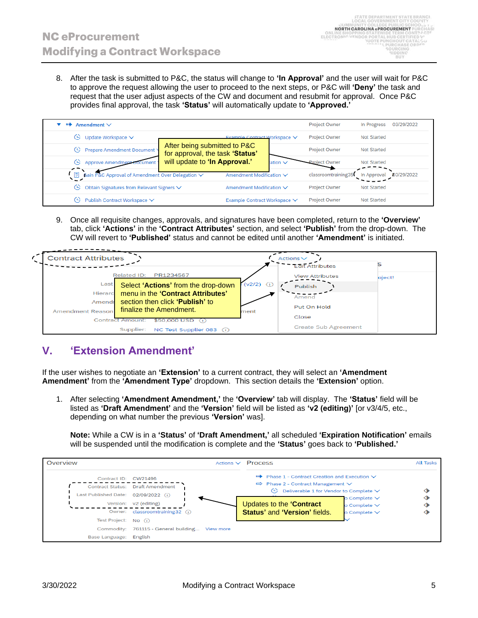8. After the task is submitted to P&C, the status will change to **'In Approval'** and the user will wait for P&C to approve the request allowing the user to proceed to the next steps, or P&C will **'Deny'** the task and request that the user adjust aspects of the CW and document and resubmit for approval. Once P&C provides final approval, the task **'Status'** will automatically update to **'Approved.'**

| нŵ  | Amendment $\vee$                                 |                                                                 |                              | <b>Project Owner</b> | In Progress        | 03/29/2022 |
|-----|--------------------------------------------------|-----------------------------------------------------------------|------------------------------|----------------------|--------------------|------------|
| (F) | Update Workspace $\vee$                          |                                                                 | Example Contract Workspace V | <b>Project Owner</b> | Not Started        |            |
| G.  | Prepare Amendment Document                       | After being submitted to P&C<br>for approval, the task 'Status' |                              | <b>Project Owner</b> | Not Started        |            |
| e   | Approve Amendment<br>nument.                     | will update to 'In Approval.'<br>ation $\vee$                   |                              | <b>Project Owner</b> | <b>Not Started</b> |            |
|     | Gain P&C Approval of Amendment Over Delegation V |                                                                 | Amendment Modification ∨     | classroomtraining35  | In Approval        | 03/29/2022 |
| (1) | Obtain Signatures from Relevant Signers V        |                                                                 | Amendment Modification ∨     | <b>Project Owner</b> | <b>Not Started</b> |            |
| (L) | Publish Contract Workspace ∨                     |                                                                 | Example Contract Workspace ∨ | <b>Project Owner</b> | Not Started        |            |

9. Once all requisite changes, approvals, and signatures have been completed, return to the **'Overview'** tab, click **'Actions'** in the **'Contract Attributes'** section, and select **'Publish'** from the drop-down. The CW will revert to **'Published'** status and cannot be edited until another **'Amendment'** is initiated.



### **V. 'Extension Amendment'**

If the user wishes to negotiate an **'Extension'** to a current contract, they will select an **'Amendment Amendment'** from the **'Amendment Type'** dropdown. This section details the **'Extension'** option.

1. After selecting **'Amendment Amendment,'** the **'Overview'** tab will display. The **'Status'** field will be listed as **'Draft Amendment'** and the **'Version'** field will be listed as **'v2 (editing)'** [or v3/4/5, etc., depending on what number the previous **'Version'** was].

**Note:** While a CW is in a **'Status'** of **'Draft Amendment,'** all scheduled **'Expiration Notification'** emails will be suspended until the modification is complete and the **'Status'** goes back to **'Published.'**

![](_page_4_Figure_10.jpeg)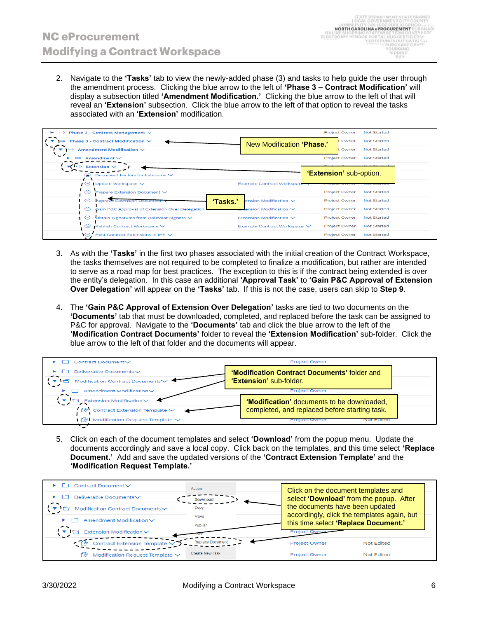2. Navigate to the **'Tasks'** tab to view the newly-added phase (3) and tasks to help guide the user through the amendment process. Clicking the blue arrow to the left of **'Phase 3 – Contract Modification'** will display a subsection titled **'Amendment Modification.'** Clicking the blue arrow to the left of that will reveal an **'Extension'** subsection. Click the blue arrow to the left of that option to reveal the tasks associated with an **'Extension'** modification.

| $\Rightarrow$ Phase 2 - Contract Management $\vee$                         |                                   | <b>Project Owner</b>    | <b>Not Started</b> |
|----------------------------------------------------------------------------|-----------------------------------|-------------------------|--------------------|
| Phase 3 - Contract Modification $\vee$<br>$\Rightarrow$                    | New Modification 'Phase.'         | Owner                   | <b>Not Started</b> |
| Amendment Modification $\vee$<br>$\overline{\phantom{a}}$<br>$\rightarrow$ |                                   | Owner                   | <b>Not Started</b> |
| Amendment $\vee$<br>$\Rightarrow$                                          |                                   | <b>Project Owner</b>    | <b>Not Started</b> |
| Extension $\vee$<br>$\Rightarrow$                                          |                                   |                         |                    |
| Document Factors for Extension V<br>œ                                      |                                   | 'Extension' sub-option. |                    |
| $\circ$ Update Workspace $\vee$                                            | <b>Example Contract Workspace</b> |                         |                    |
| $\odot$<br>Prepare Extension Document V                                    |                                   | <b>Project Owner</b>    | <b>Not Started</b> |
| $\circ$<br>'Tasks.'<br><b>Approve Extension Document</b>                   | ension Modification $\vee$        | <b>Project Owner</b>    | <b>Not Started</b> |
| ဇ<br>Gain P&C Approval of Extension Over Delegation                        | ension Modification $\vee$        | <b>Project Owner</b>    | <b>Not Started</b> |
| Obtain Signatures from Relevant Signers V<br>G                             | Extension Modification $\vee$     | <b>Project Owner</b>    | <b>Not Started</b> |
| ဇ<br>Publish Contract Workspace V                                          | Example Contract Workspace V      | <b>Project Owner</b>    | <b>Not Started</b> |
| <b>IG</b><br>Post Contract Extensions in IPS V                             |                                   | <b>Project Owner</b>    | <b>Not Started</b> |

- 3. As with the **'Tasks'** in the first two phases associated with the initial creation of the Contract Workspace, the tasks themselves are not required to be completed to finalize a modification, but rather are intended to serve as a road map for best practices. The exception to this is if the contract being extended is over the entity's delegation. In this case an additional **'Approval Task'** to **'Gain P&C Approval of Extension Over Delegation'** will appear on the **'Tasks'** tab. If this is not the case, users can skip to **Step 9**.
- 4. The **'Gain P&C Approval of Extension Over Delegation'** tasks are tied to two documents on the **'Documents'** tab that must be downloaded, completed, and replaced before the task can be assigned to P&C for approval. Navigate to the **'Documents'** tab and click the blue arrow to the left of the **'Modification Contract Documents'** folder to reveal the **'Extension Modification'** sub-folder. Click the blue arrow to the left of that folder and the documents will appear.

|                                                                       | <b>Project Owner</b>                          |
|-----------------------------------------------------------------------|-----------------------------------------------|
| Deliverable Documents∨                                                | 'Modification Contract Documents' folder and  |
| Modification Contract Documents                                       | 'Extension' sub-folder.                       |
| Amendment Modification V                                              | <b>Project Owner</b>                          |
| <b>Extension Modification</b>                                         | 'Modification' documents to be downloaded,    |
| $\mathbb{W}$ Contract Extension Template $\vee$                       | completed, and replaced before starting task. |
| $\sqrt{\mathsf{W}}$ Modification Request Template $\sqrt{\mathsf{W}}$ | ιοι Eaitea<br><b>Project Owner</b>            |

5. Click on each of the document templates and select **'Download'** from the popup menu. Update the documents accordingly and save a local copy. Click back on the templates, and this time select **'Replace Document.'** Add and save the updated versions of the **'Contract Extension Template'** and the **'Modification Request Template.'**

| Contract Document∨                    | Action                  | Click on the document templates and                                                 |  |
|---------------------------------------|-------------------------|-------------------------------------------------------------------------------------|--|
| Deliverable Documents∨                | <b>Download</b>         | select 'Download' from the popup. After                                             |  |
| Modification Contract Documents∨      | Copy                    | the documents have been updated                                                     |  |
| Amendment Modification∨               | Move<br>Publish         | accordingly, click the templates again, but<br>this time select 'Replace Document.' |  |
| Extension Modification∨               |                         |                                                                                     |  |
| Contract Extension Template V         | <b>Replace Document</b> | <b>Project Owner</b><br>Not Edited                                                  |  |
| Modification Request Template V<br>۴ŵ | <b>Create New Task</b>  | <b>Not Edited</b><br><b>Project Owner</b>                                           |  |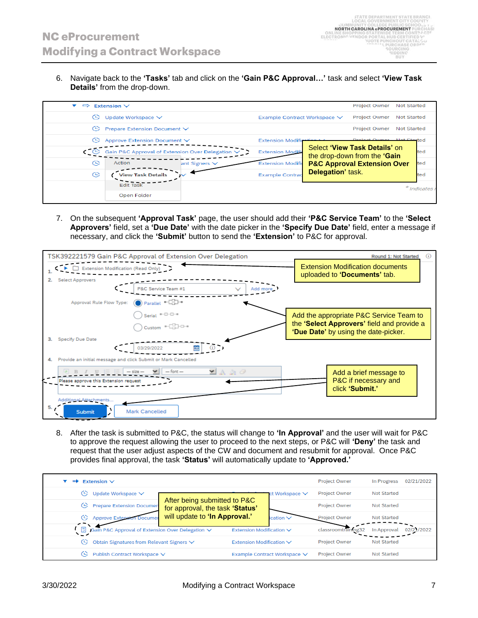6. Navigate back to the **'Tasks'** tab and click on the **'Gain P&C Approval…'** task and select **'View Task Details'** from the drop-down.

|                          |                  |                                                                                                                                        | <b>Project Owner</b>         | <b>Not Started</b> |                                                                                                                                             |
|--------------------------|------------------|----------------------------------------------------------------------------------------------------------------------------------------|------------------------------|--------------------|---------------------------------------------------------------------------------------------------------------------------------------------|
| Update Workspace V       |                  |                                                                                                                                        | <b>Project Owner</b>         | <b>Not Started</b> |                                                                                                                                             |
|                          |                  |                                                                                                                                        | <b>Project Owner</b>         | <b>Not Started</b> |                                                                                                                                             |
|                          |                  | <b>Extension Modifi</b>                                                                                                                |                              |                    |                                                                                                                                             |
|                          |                  | <b>Extension Modifi</b>                                                                                                                |                              |                    | ted                                                                                                                                         |
| Action                   |                  | <b>Extension Modifie</b>                                                                                                               |                              |                    | ted                                                                                                                                         |
| <b>View Task Details</b> |                  | <b>Example Contrad</b>                                                                                                                 |                              |                    | ted                                                                                                                                         |
| <b>Edit Task</b>         |                  |                                                                                                                                        |                              |                    | * Indicates I                                                                                                                               |
| Open Folder              |                  |                                                                                                                                        |                              |                    |                                                                                                                                             |
|                          | Extension $\vee$ | Prepare Extension Document ∨<br>Approve Extension Document ∨<br>Gain P&C Approval of Extension Over Delegation V<br>ant Signers $\vee$ | Example Contract Workspace V | Delegation' task.  | <b>Project Owner</b> Not Started<br>Select 'View Task Details' on<br>the drop-down from the 'Gain<br><b>P&amp;C Approval Extension Over</b> |

7. On the subsequent **'Approval Task'** page, the user should add their **'P&C Service Team'** to the **'Select Approvers'** field, set a **'Due Date'** with the date picker in the **'Specify Due Date'** field, enter a message if necessary, and click the **'Submit'** button to send the **'Extension'** to P&C for approval.

|    |                                                               | TSK392221579 Gain P&C Approval of Extension Over Delegation                                                                                                                                                                                                                                                                                         |                              |                                                                         |  | Round 1: Not Started                                                               | (i) |
|----|---------------------------------------------------------------|-----------------------------------------------------------------------------------------------------------------------------------------------------------------------------------------------------------------------------------------------------------------------------------------------------------------------------------------------------|------------------------------|-------------------------------------------------------------------------|--|------------------------------------------------------------------------------------|-----|
|    | Extension Modification (Read Only)                            |                                                                                                                                                                                                                                                                                                                                                     |                              | <b>Extension Modification documents</b><br>uploaded to 'Documents' tab. |  |                                                                                    |     |
|    | <b>Select Approvers</b>                                       |                                                                                                                                                                                                                                                                                                                                                     |                              |                                                                         |  |                                                                                    |     |
|    |                                                               | P&C Service Team #1                                                                                                                                                                                                                                                                                                                                 |                              | Add more                                                                |  |                                                                                    |     |
|    | Approval Rule Flow Type:                                      | $\bigcirc$ Parallel $\bigcirc$                                                                                                                                                                                                                                                                                                                      |                              |                                                                         |  |                                                                                    |     |
|    |                                                               | Serial $\sqrt[n-1]{-1}$                                                                                                                                                                                                                                                                                                                             |                              |                                                                         |  | Add the appropriate P&C Service Team to                                            |     |
|    |                                                               | $\begin{picture}(150,10) \put(0,0){\line(1,0){10}} \put(15,0){\line(1,0){10}} \put(15,0){\line(1,0){10}} \put(15,0){\line(1,0){10}} \put(15,0){\line(1,0){10}} \put(15,0){\line(1,0){10}} \put(15,0){\line(1,0){10}} \put(15,0){\line(1,0){10}} \put(15,0){\line(1,0){10}} \put(15,0){\line(1,0){10}} \put(15,0){\line(1,0){10}} \put(15,0){\line($ |                              |                                                                         |  | the 'Select Approvers' field and provide a<br>'Due Date' by using the date-picker. |     |
| з. | Specify Due Date                                              |                                                                                                                                                                                                                                                                                                                                                     |                              |                                                                         |  |                                                                                    |     |
|    |                                                               | 繭<br>3/29/2022                                                                                                                                                                                                                                                                                                                                      |                              |                                                                         |  |                                                                                    |     |
|    | Provide an initial message and click Submit or Mark Cancelled |                                                                                                                                                                                                                                                                                                                                                     |                              |                                                                         |  |                                                                                    |     |
|    |                                                               | $-$ font $-$<br>$-$ size                                                                                                                                                                                                                                                                                                                            | $\blacksquare$ A & $\oslash$ |                                                                         |  | Add a brief message to                                                             |     |
|    | Please approve this Extension request                         |                                                                                                                                                                                                                                                                                                                                                     |                              |                                                                         |  | P&C if necessary and                                                               |     |
|    |                                                               |                                                                                                                                                                                                                                                                                                                                                     |                              |                                                                         |  | click 'Submit.'                                                                    |     |
|    | Additional Attachments                                        |                                                                                                                                                                                                                                                                                                                                                     |                              |                                                                         |  |                                                                                    |     |
| 5. | <b>Submit</b>                                                 | <b>Mark Cancelled</b>                                                                                                                                                                                                                                                                                                                               |                              |                                                                         |  |                                                                                    |     |

8. After the task is submitted to P&C, the status will change to **'In Approval'** and the user will wait for P&C to approve the request allowing the user to proceed to the next steps, or P&C will **'Deny'** the task and request that the user adjust aspects of the CW and document and resubmit for approval. Once P&C provides final approval, the task **'Status'** will automatically update to **'Approved.'**

| Extension $\vee$<br>пф                                                  |                                                                 |                              | <b>Project Owner</b> | In Progress        | 02/21/2022 |
|-------------------------------------------------------------------------|-----------------------------------------------------------------|------------------------------|----------------------|--------------------|------------|
| Update Workspace V<br>(F)                                               |                                                                 | ct Workspace ∨               | <b>Project Owner</b> | Not Started        |            |
| <b>Prepare Extension Documen</b><br>(L)                                 | After being submitted to P&C<br>for approval, the task 'Status' |                              | <b>Project Owner</b> | Not Started        |            |
| <b>Approve Extensio</b><br>0<br>Documer                                 | will update to 'In Approval.'                                   | ication $\vee$               | <b>Project Owner</b> | Not Started        |            |
| $\overline{a}$<br>Gain P&C Approval of Extension Over Delegation $\vee$ |                                                                 | Extension Modification V     | classroomtraining32  | In Approval        | 02/21/2022 |
| Obtain Signatures from Relevant Signers V<br>0                          |                                                                 | Extension Modification V     | <b>Project Owner</b> | <b>Not Started</b> |            |
| Publish Contract Workspace V<br>(L)                                     |                                                                 | Example Contract Workspace ∨ | <b>Project Owner</b> | <b>Not Started</b> |            |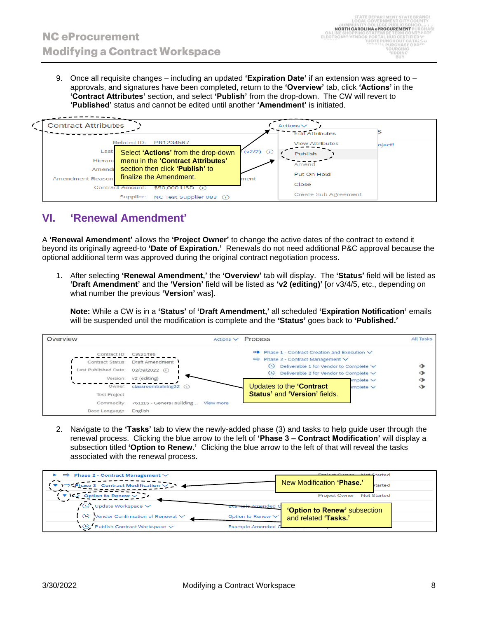9. Once all requisite changes – including an updated **'Expiration Date'** if an extension was agreed to – approvals, and signatures have been completed, return to the **'Overview'** tab, click **'Actions'** in the **'Contract Attributes'** section, and select **'Publish'** from the drop-down. The CW will revert to **'Published'** status and cannot be edited until another **'Amendment'** is initiated.

| <b>Contract Attributes</b><br>c |                                       |              | $Actions\vee$               |        |
|---------------------------------|---------------------------------------|--------------|-----------------------------|--------|
|                                 |                                       |              | <b>Edit Attributes</b>      |        |
|                                 | Related ID:<br>PR1234567              |              | <b>View Attributes</b>      | oject! |
| Last                            | Select 'Actions' from the drop-down   | $(v2/2)$ (i) | Publish                     |        |
| Hierarc                         | menu in the 'Contract Attributes'     |              | Amend                       |        |
| Amendr                          | section then click 'Publish' to       |              | Put On Hold                 |        |
| Amendment Reason                | finalize the Amendment.               | ment         |                             |        |
|                                 | Contract Amount: \$50,000 USD         |              | Close                       |        |
|                                 | NC Test Supplier 083 (i)<br>Supplier: |              | <b>Create Sub Agreement</b> |        |

# **VI. 'Renewal Amendment'**

A **'Renewal Amendment'** allows the **'Project Owner'** to change the active dates of the contract to extend it beyond its originally agreed-to **'Date of Expiration.'** Renewals do not need additional P&C approval because the optional additional term was approved during the original contract negotiation process.

1. After selecting **'Renewal Amendment,'** the **'Overview'** tab will display. The **'Status'** field will be listed as **'Draft Amendment'** and the **'Version'** field will be listed as **'v2 (editing)'** [or v3/4/5, etc., depending on what number the previous **'Version'** was].

**Note:** While a CW is in a **'Status'** of **'Draft Amendment,'** all scheduled **'Expiration Notification'** emails will be suspended until the modification is complete and the **'Status'** goes back to **'Published.'**

![](_page_7_Figure_8.jpeg)

2. Navigate to the **'Tasks'** tab to view the newly-added phase (3) and tasks to help guide user through the renewal process. Clicking the blue arrow to the left of **'Phase 3 – Contract Modification'** will display a subsection titled **'Option to Renew.'** Clicking the blue arrow to the left of that will reveal the tasks associated with the renewal process.

| $\Rightarrow$ Phase 2 - Contract Management $\vee$                    | <b>Started</b> Current Met Started          |
|-----------------------------------------------------------------------|---------------------------------------------|
| $\Rightarrow$ Phase 3 - Contract Modification $\vee$                  | New Modification 'Phase.'<br><b>Started</b> |
| $\blacktriangledown$<br>Option to Renew $\vee$                        | <b>Project Owner</b><br><b>Not Started</b>  |
| $\bullet$<br>Update Workspace $\checkmark$<br>sele Amended C          | 'Option to Renew' subsection                |
| Vendor Confirmation of Renewal $\vee$<br>$\circ$<br>Option to Renew V | and related 'Tasks.'                        |
| V. Publish Contract Workspace ∨<br><b>Example Amended O</b>           |                                             |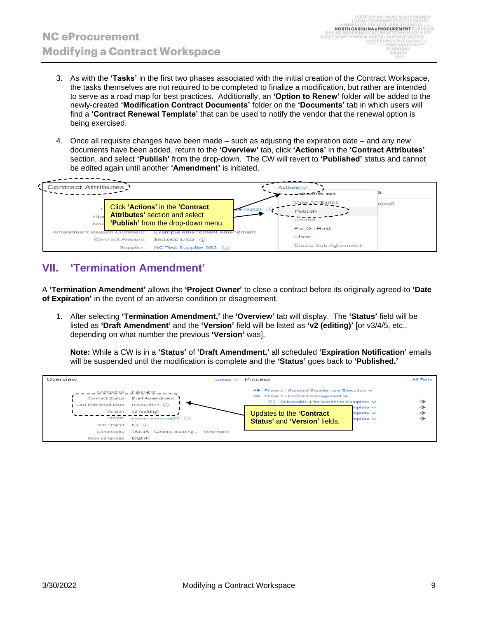- 3. As with the **'Tasks'** in the first two phases associated with the initial creation of the Contract Workspace, the tasks themselves are not required to be completed to finalize a modification, but rather are intended to serve as a road map for best practices. Additionally, an **'Option to Renew'** folder will be added to the newly-created **'Modification Contract Documents'** folder on the **'Documents'** tab in which users will find a **'Contract Renewal Template'** that can be used to notify the vendor that the renewal option is being exercised.
- 4. Once all requisite changes have been made such as adjusting the expiration date and any new documents have been added, return to the **'Overview'** tab, click **'Actions'** in the **'Contract Attributes'** section, and select **'Publish'** from the drop-down. The CW will revert to **'Published'** status and cannot be edited again until another **'Amendment'** is initiated.

![](_page_8_Figure_4.jpeg)

#### **VII. 'Termination Amendment'**

A **'Termination Amendment'** allows the **'Project Owner'** to close a contract before its originally agreed-to **'Date of Expiration'** in the event of an adverse condition or disagreement.

1. After selecting **'Termination Amendment,'** the **'Overview'** tab will display. The **'Status'** field will be listed as **'Draft Amendment'** and the **'Version'** field will be listed as **'v2 (editing)'** [or v3/4/5, etc., depending on what number the previous **'Version'** was].

**Note:** While a CW is in a **'Status'** of **'Draft Amendment,'** all scheduled **'Expiration Notification'** emails will be suspended until the modification is complete and the **'Status'** goes back to **'Published.'**

![](_page_8_Figure_9.jpeg)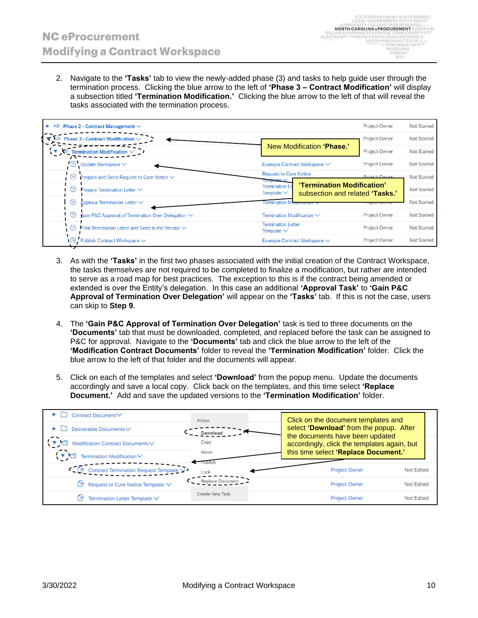2. Navigate to the **'Tasks'** tab to view the newly-added phase (3) and tasks to help guide user through the termination process. Clicking the blue arrow to the left of **'Phase 3 – Contract Modification'** will display a subsection titled **'Termination Modification.'** Clicking the blue arrow to the left of that will reveal the tasks associated with the termination process.

| $\Rightarrow$ Phase 2 - Contract Management $\vee$              |                                                                                                        | <b>Project Owner</b> | <b>Not Started</b> |
|-----------------------------------------------------------------|--------------------------------------------------------------------------------------------------------|----------------------|--------------------|
| <b>Phase 3 - Contract Modification <math>\vee</math></b>        |                                                                                                        | <b>Project Owner</b> | <b>Not Started</b> |
| Termination Modification $\sim$                                 | New Modification 'Phase.'                                                                              | <b>Project Owner</b> | <b>Not Started</b> |
| $\Theta$ Update Workspace $\vee$                                | Example Contract Workspace ∨                                                                           | <b>Project Owner</b> | <b>Not Started</b> |
| $\Theta$<br>Prepare and Send Request to Cure Notice $\vee$      | <b>Request to Cure Notice</b><br>Template \                                                            | Project Owner        | <b>Not Started</b> |
| Prepare Termination Letter $\vee$<br><b>G</b>                   | 'Termination Modification'<br><b>Termination</b><br>Template $\vee$<br>subsection and related 'Tasks.' |                      | <b>Not Started</b> |
| Approve Termination Letter $\sim$<br>$\Theta$                   | Termination                                                                                            |                      | <b>Not Started</b> |
| Gain P&C Approval of Termination Over Delegation V<br>9         | Termination Modification $\vee$                                                                        | <b>Project Owner</b> | <b>Not Started</b> |
| $\Theta$ Print Termination Letter and Send to the Vendor $\vee$ | <b>Termination Letter</b><br>Template $\vee$                                                           | <b>Project Owner</b> | <b>Not Started</b> |
| $\overline{\mathbb{G}}$ Publish Contract Workspace $\vee$       | Example Contract Workspace ∨                                                                           | <b>Project Owner</b> | <b>Not Started</b> |

- 3. As with the **'Tasks'** in the first two phases associated with the initial creation of the Contract Workspace, the tasks themselves are not required to be completed to finalize a modification, but rather are intended to serve as a road map for best practices. The exception to this is if the contract being amended or extended is over the Entity's delegation. In this case an additional **'Approval Task'** to **'Gain P&C Approval of Termination Over Delegation'** will appear on the **'Tasks'** tab. If this is not the case, users can skip to **Step 9**.
- 4. The **'Gain P&C Approval of Termination Over Delegation'** task is tied to three documents on the **'Documents'** tab that must be downloaded, completed, and replaced before the task can be assigned to P&C for approval. Navigate to the **'Documents'** tab and click the blue arrow to the left of the **'Modification Contract Documents'** folder to reveal the **'Termination Modification'** folder. Click the blue arrow to the left of that folder and the documents will appear.
- 5. Click on each of the templates and select **'Download'** from the popup menu. Update the documents accordingly and save a local copy. Click back on the templates, and this time select **'Replace Document.'** Add and save the updated versions to the **'Termination Modification'** folder.

| Contract Document∨                                   | Action                 | Click on the document templates and                                            |                   |
|------------------------------------------------------|------------------------|--------------------------------------------------------------------------------|-------------------|
| Deliverable Documents∨                               |                        | select 'Download' from the popup. After                                        |                   |
| Modification Contract DocumentsV                     | Copy                   | the documents have been updated<br>accordingly, click the templates again, but |                   |
| <b>Termination Modification</b> ∨                    | Move                   | this time select 'Replace Document.'                                           |                   |
| Contract Termination Request Template V<br><b>LM</b> | Lock                   | Project Owner                                                                  | <b>Not Edited</b> |
| $N$ Request to Cure Notice Template $\vee$           | Replace Document       | Project Owner                                                                  | Not Edited        |
| Termination Letter Template $\vee$                   | <b>Create New Task</b> | Project Owner                                                                  | <b>Not Edited</b> |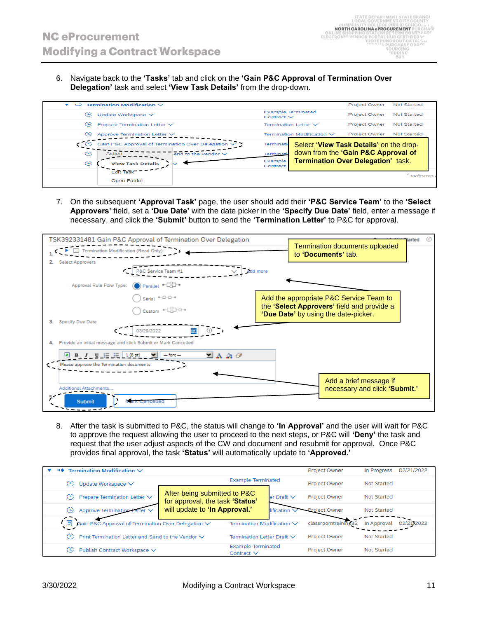6. Navigate back to the **'Tasks'** tab and click on the **'Gain P&C Approval of Termination Over Delegation'** task and select **'View Task Details'** from the drop-down.

| $\Rightarrow$ | <b>Termination Modification <math>\vee</math></b> |                                                             |                     |                                           | <b>Project Owner</b> | Not Started        |
|---------------|---------------------------------------------------|-------------------------------------------------------------|---------------------|-------------------------------------------|----------------------|--------------------|
| œ             | Update Workspace $\vee$                           |                                                             | Contract $\vee$     | <b>Example Terminated</b>                 | <b>Project Owner</b> | Not Started        |
| œ             | Prepare Termination Letter ∨                      |                                                             |                     | Termination Letter $\vee$                 | <b>Project Owner</b> | <b>Not Started</b> |
| œ             | Approve Termination Letter V                      |                                                             |                     | Termination Modification $\vee$           | <b>Project Owner</b> | <b>Not Started</b> |
|               |                                                   | Gain P&C Approval of Termination Over Delegation $\sqrt{ }$ | Terminati           | Select 'View Task Details' on the drop-   |                      |                    |
| ങ             | Action                                            | $\frac{1}{2}$ and to the Vendor $\sqrt{}$                   | Terminati           | down from the 'Gain P&C Approval of       |                      |                    |
| ങ             | <b>View Task Details</b>                          |                                                             | Example<br>Contract | <b>Termination Over Delegation' task.</b> |                      |                    |
|               | <b>Edit Task</b>                                  |                                                             |                     |                                           |                      | * Indicates        |
|               | Open Folder                                       |                                                             |                     |                                           |                      |                    |

7. On the subsequent **'Approval Task'** page, the user should add their **'P&C Service Team'** to the **'Select Approvers'** field, set a **'Due Date'** with the date picker in the **'Specify Due Date'** field, enter a message if necessary, and click the **'Submit'** button to send the **'Termination Letter'** to P&C for approval.

![](_page_10_Figure_5.jpeg)

8. After the task is submitted to P&C, the status will change to **'In Approval'** and the user will wait for P&C to approve the request allowing the user to proceed to the next steps, or P&C will **'Deny'** the task and request that the user adjust aspects of the CW and document and resubmit for approval. Once P&C provides final approval, the task **'Status'** will automatically update to **'Approved.'**

| Termination Modification $\vee$<br>пф                         |                                                                 |                                              |                    | <b>Project Owner</b> | In Progress | 02/21/2022 |
|---------------------------------------------------------------|-----------------------------------------------------------------|----------------------------------------------|--------------------|----------------------|-------------|------------|
| Update Workspace V<br>05                                      |                                                                 | <b>Example Terminated</b>                    |                    | <b>Project Owner</b> | Not Started |            |
| Prepare Termination Letter ∨<br>œ.                            | After being submitted to P&C<br>for approval, the task 'Status' |                                              | $ler$ Draft $\vee$ | <b>Project Owner</b> | Not Started |            |
| <b>Approve Termination Letter</b><br>(1)                      |                                                                 | will update to 'In Approval.'<br>dification  |                    | <b>Project Owner</b> | Not Started |            |
| $\Box$<br>Gain P&C Approval of Termination Over Delegation V  |                                                                 | Termination Modification V                   |                    | classroomtraining32  | In Approval | 02/21/2022 |
| Print Termination Letter and Send to the Vendor $\vee$<br>CC) |                                                                 | Termination Letter Draft ∨                   |                    | <b>Project Owner</b> | Not Started |            |
| Publish Contract Workspace ∨<br>œ,                            |                                                                 | <b>Example Terminated</b><br>Contract $\vee$ |                    | <b>Project Owner</b> | Not Started |            |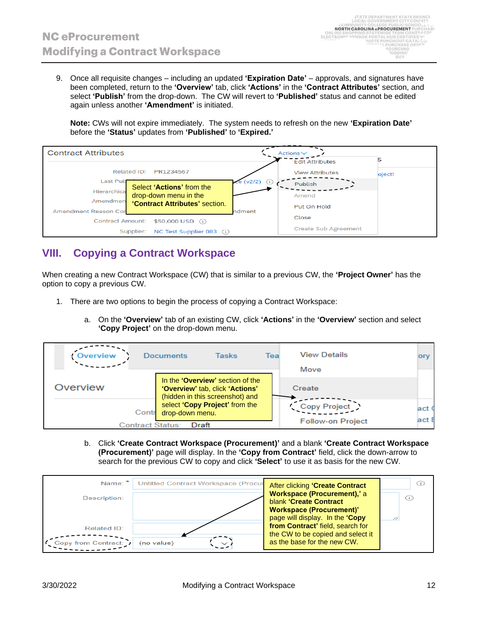9. Once all requisite changes – including an updated **'Expiration Date'** – approvals, and signatures have been completed, return to the **'Overview'** tab, click **'Actions'** in the **'Contract Attributes'** section, and select **'Publish'** from the drop-down. The CW will revert to **'Published'** status and cannot be edited again unless another **'Amendment'** is initiated.

**Note:** CWs will not expire immediately. The system needs to refresh on the new **'Expiration Date'** before the **'Status'** updates from **'Published'** to **'Expired.'**

![](_page_11_Figure_4.jpeg)

#### **VIII. Copying a Contract Workspace**

When creating a new Contract Workspace (CW) that is similar to a previous CW, the **'Project Owner'** has the option to copy a previous CW.

- 1. There are two options to begin the process of copying a Contract Workspace:
	- a. On the **'Overview'** tab of an existing CW, click **'Actions'** in the **'Overview'** section and select **'Copy Project'** on the drop-down menu.

| Overview | <b>Documents</b>         | Tasks                                                                                                  | Teal | <b>View Details</b><br>Move              | orv           |
|----------|--------------------------|--------------------------------------------------------------------------------------------------------|------|------------------------------------------|---------------|
| Overview |                          | In the 'Overview' section of the<br>'Overview' tab, click 'Actions'<br>(hidden in this screenshot) and |      | Create                                   |               |
|          | drop-down menu.<br>Contr | select 'Copy Project' from the                                                                         |      | Copy Project<br><b>Follow-on Project</b> | lact (<br>act |
|          | Contract Status:         | Draft                                                                                                  |      |                                          |               |

b. Click **'Create Contract Workspace (Procurement)'** and a blank **'Create Contract Workspace (Procurement)'** page will display. In the **'Copy from Contract'** field, click the down-arrow to search for the previous CW to copy and click **'Select'** to use it as basis for the new CW.

| Name: *<br>Description: | <b>Untitled Contract Workspace (Procur</b> | After clicking 'Create Contract<br>Workspace (Procurement),'a<br>blank 'Create Contract | Œ<br>G) |
|-------------------------|--------------------------------------------|-----------------------------------------------------------------------------------------|---------|
|                         |                                            | <b>Workspace (Procurement)'</b><br>page will display. In the 'Copy                      |         |
| <b>Related ID:</b>      |                                            | from Contract' field, search for<br>the CW to be copied and select it                   |         |
| Copy from Contract:     | (no value)<br>$\checkmark$                 | as the base for the new CW.                                                             |         |